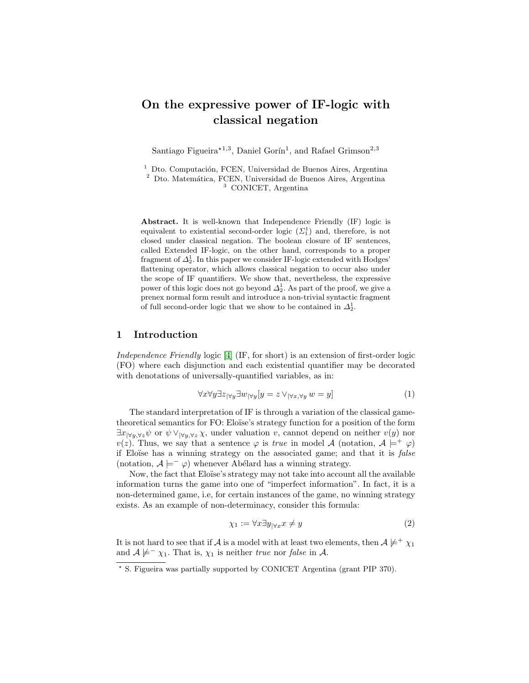# On the expressive power of IF-logic with classical negation

Santiago Figueira<sup>\*1,3</sup>, Daniel Gorín<sup>1</sup>, and Rafael Grimson<sup>2,3</sup>

 $^{\rm 1}$  Dto. Computación, FCEN, Universidad de Buenos Aires, Argentina  $2$  Dto. Matemática, FCEN, Universidad de Buenos Aires, Argentina <sup>3</sup> CONICET, Argentina

Abstract. It is well-known that Independence Friendly (IF) logic is equivalent to existential second-order logic  $(\Sigma_1^1)$  and, therefore, is not closed under classical negation. The boolean closure of IF sentences, called Extended IF-logic, on the other hand, corresponds to a proper fragment of  $\Delta^1_2$ . In this paper we consider IF-logic extended with Hodges' flattening operator, which allows classical negation to occur also under the scope of IF quantifiers. We show that, nevertheless, the expressive power of this logic does not go beyond  $\Delta^1_2$ . As part of the proof, we give a prenex normal form result and introduce a non-trivial syntactic fragment of full second-order logic that we show to be contained in  $\Delta^1_2$ .

# 1 Introduction

Independence Friendly logic [\[4\]](#page-10-0) (IF, for short) is an extension of first-order logic (FO) where each disjunction and each existential quantifier may be decorated with denotations of universally-quantified variables, as in:

$$
\forall x \forall y \exists z_{\forall y} \exists w_{\forall y} [y = z \lor_{\forall x, \forall y} w = y]
$$
\n
$$
(1)
$$

The standard interpretation of IF is through a variation of the classical gametheoretical semantics for FO: Eloïse's strategy function for a position of the form  $\exists x_{\forall y,\forall z} \psi$  or  $\psi \vee_{\forall y,\forall z} \chi$ , under valuation v, cannot depend on neither  $v(y)$  nor  $v(z)$ . Thus, we say that a sentence  $\varphi$  is true in model A (notation,  $A \models^+ \varphi$ ) if Eloïse has a winning strategy on the associated game; and that it is *false* (notation,  $A \models^- \varphi$ ) whenever Abélard has a winning strategy.

Now, the fact that Eloïse's strategy may not take into account all the available information turns the game into one of "imperfect information". In fact, it is a non-determined game, i.e, for certain instances of the game, no winning strategy exists. As an example of non-determinacy, consider this formula:

<span id="page-0-0"></span>
$$
\chi_1 := \forall x \exists y_{|\forall x} x \neq y \tag{2}
$$

It is not hard to see that if A is a model with at least two elements, then  $A \not\models^+ \chi_1$ and  $A \not\models^{-} \chi_1$ . That is,  $\chi_1$  is neither true nor false in A.

<sup>?</sup> S. Figueira was partially supported by CONICET Argentina (grant PIP 370).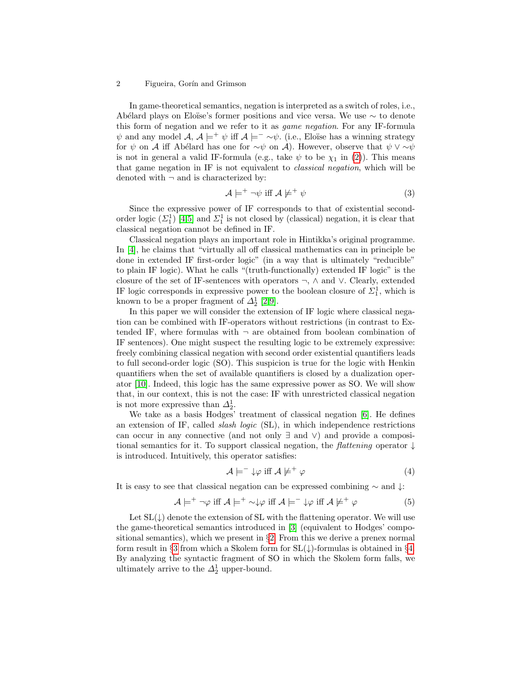#### 2 Figueira, Gorín and Grimson

In game-theoretical semantics, negation is interpreted as a switch of roles, i.e., Abélard plays on Eloïse's former positions and vice versa. We use  $\sim$  to denote this form of negation and we refer to it as game negation. For any IF-formula  $\psi$  and any model  $\mathcal{A}, \mathcal{A} \models^+ \psi$  iff  $\mathcal{A} \models^- \sim \psi$ . (i.e., Eloïse has a winning strategy for  $\psi$  on A iff Abélard has one for  $\sim \psi$  on A). However, observe that  $\psi \vee \sim \psi$ is not in general a valid IF-formula (e.g., take  $\psi$  to be  $\chi_1$  in [\(2\)](#page-0-0)). This means that game negation in IF is not equivalent to classical negation, which will be denoted with  $\neg$  and is characterized by:

$$
\mathcal{A} \models^+ \neg \psi \text{ iff } \mathcal{A} \not\models^+ \psi \tag{3}
$$

Since the expressive power of IF corresponds to that of existential secondorder logic  $(\Sigma_1^1)$  [\[4](#page-10-0)[,5\]](#page-10-1) and  $\Sigma_1^1$  is not closed by (classical) negation, it is clear that classical negation cannot be defined in IF.

Classical negation plays an important role in Hintikka's original programme. In [\[4\]](#page-10-0), he claims that "virtually all off classical mathematics can in principle be done in extended IF first-order logic" (in a way that is ultimately "reducible" to plain IF logic). What he calls "(truth-functionally) extended IF logic" is the closure of the set of IF-sentences with operators ¬, ∧ and ∨. Clearly, extended IF logic corresponds in expressive power to the boolean closure of  $\Sigma_1^1$ , which is known to be a proper fragment of  $\Delta_2^1$  [\[2,](#page-10-2)[9\]](#page-10-3).

In this paper we will consider the extension of IF logic where classical negation can be combined with IF-operators without restrictions (in contrast to Extended IF, where formulas with  $\neg$  are obtained from boolean combination of IF sentences). One might suspect the resulting logic to be extremely expressive: freely combining classical negation with second order existential quantifiers leads to full second-order logic (SO). This suspicion is true for the logic with Henkin quantifiers when the set of available quantifiers is closed by a dualization operator [\[10\]](#page-10-4). Indeed, this logic has the same expressive power as SO. We will show that, in our context, this is not the case: IF with unrestricted classical negation is not more expressive than  $\Delta_2^1$ .

We take as a basis Hodges' treatment of classical negation [\[6\]](#page-10-5). He defines an extension of IF, called slash logic (SL), in which independence restrictions can occur in any connective (and not only ∃ and ∨) and provide a compositional semantics for it. To support classical negation, the *flattening* operator  $\downarrow$ is introduced. Intuitively, this operator satisfies:

$$
\mathcal{A} \models^- \downarrow \varphi \text{ iff } \mathcal{A} \not\models^+ \varphi \tag{4}
$$

It is easy to see that classical negation can be expressed combining ∼ and ↓:

$$
\mathcal{A} \models^+ \neg \varphi \text{ iff } \mathcal{A} \models^+ \sim \downarrow \varphi \text{ iff } \mathcal{A} \models^- \downarrow \varphi \text{ iff } \mathcal{A} \not\models^+ \varphi
$$
 (5)

Let  $SL(\downarrow)$  denote the extension of SL with the flattening operator. We will use the game-theoretical semantics introduced in [\[3\]](#page-10-6) (equivalent to Hodges' compositional semantics), which we present in §[2.](#page-2-0) From this we derive a prenex normal form result in §[3](#page-4-0) from which a Skolem form for  $SL(\downarrow)$ -formulas is obtained in §[4.](#page-6-0) By analyzing the syntactic fragment of SO in which the Skolem form falls, we ultimately arrive to the  $\Delta_2^1$  upper-bound.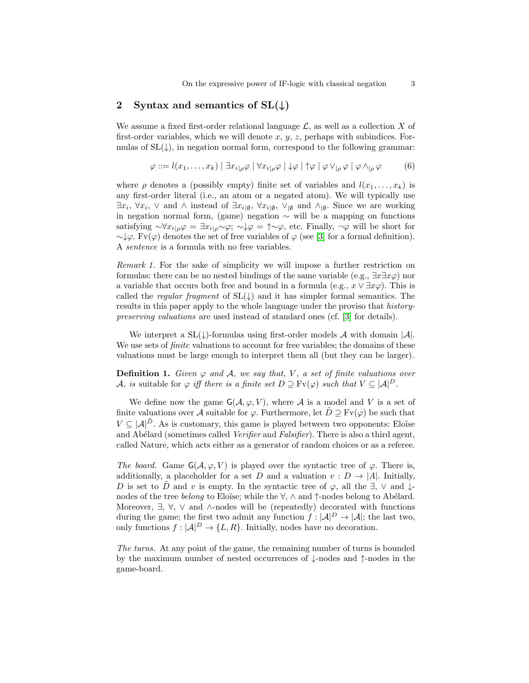# <span id="page-2-0"></span>2 Syntax and semantics of  $SL(\downarrow)$

We assume a fixed first-order relational language  $\mathcal{L}$ , as well as a collection X of first-order variables, which we will denote  $x, y, z$ , perhaps with subindices. Formulas of  $SL(\downarrow)$ , in negation normal form, correspond to the following grammar:

$$
\varphi ::= l(x_1, \dots, x_k) | \exists x_{i|\rho} \varphi | \forall x_{i|\rho} \varphi | \downarrow \varphi | \uparrow \varphi | \varphi \vee_{|\rho} \varphi | \varphi \wedge_{|\rho} \varphi
$$
 (6)

where  $\rho$  denotes a (possibly empty) finite set of variables and  $l(x_1, \ldots, x_k)$  is any first-order literal (i.e., an atom or a negated atom). We will typically use  $\exists x_i, \forall x_i, \vee \text{ and } \wedge \text{ instead of } \exists x_{i|\emptyset}, \forall x_{i|\emptyset}, \vee_{|\emptyset} \text{ and } \wedge_{|\emptyset}$ . Since we are working in negation normal form, (game) negation  $\sim$  will be a mapping on functions satisfying  $\sim \forall x_{i|\rho} \varphi = \exists x_{i|\rho} \sim \varphi; \neg \psi \neq \neg \varphi$ , etc. Finally,  $\neg \varphi$  will be short for  $\sim \downarrow \varphi$ . Fv( $\varphi$ ) denotes the set of free variables of  $\varphi$  (see [\[3\]](#page-10-6) for a formal definition). A sentence is a formula with no free variables.

<span id="page-2-1"></span>Remark 1. For the sake of simplicity we will impose a further restriction on formulas: there can be no nested bindings of the same variable (e.g.,  $\exists x \exists x \varphi$ ) nor a variable that occurs both free and bound in a formula (e.g.,  $x \vee \exists x \varphi$ ). This is called the regular fragment of  $SL(\downarrow)$  and it has simpler formal semantics. The results in this paper apply to the whole language under the proviso that historypreserving valuations are used instead of standard ones (cf. [\[3\]](#page-10-6) for details).

We interpret a  $SL(\downarrow)$ -formulas using first-order models A with domain |A|. We use sets of *finite* valuations to account for free variables; the domains of these valuations must be large enough to interpret them all (but they can be larger).

**Definition 1.** Given  $\varphi$  and A, we say that, V, a set of finite valuations over A, is suitable for  $\varphi$  iff there is a finite set  $D \supseteq \text{Fv}(\varphi)$  such that  $V \subseteq |A|^D$ .

We define now the game  $G(\mathcal{A}, \varphi, V)$ , where  $\mathcal{A}$  is a model and V is a set of finite valuations over A suitable for  $\varphi$ . Furthermore, let  $\tilde{D} \supseteq$  Fv( $\varphi$ ) be such that  $V \subseteq |A|^{\tilde{D}}$ . As is customary, this game is played between two opponents: Eloïse and Abélard (sometimes called *Verifier* and *Falsifier*). There is also a third agent, called Nature, which acts either as a generator of random choices or as a referee.

The board. Game  $G(A, \varphi, V)$  is played over the syntactic tree of  $\varphi$ . There is, additionally, a placeholder for a set D and a valuation  $v : D \to |A|$ . Initially, D is set to D and v is empty. In the syntactic tree of  $\varphi$ , all the  $\exists$ ,  $\vee$  and  $\downarrow$ nodes of the tree belong to Eloïse; while the  $\forall$ ,  $\land$  and  $\uparrow$ -nodes belong to Abélard. Moreover,  $\exists$ ,  $\forall$ ,  $\vee$  and  $\wedge$ -nodes will be (repeatedly) decorated with functions during the game; the first two admit any function  $f : |A|^D \to |A|$ ; the last two, only functions  $f : |\mathcal{A}|^D \to \{L, R\}$ . Initially, nodes have no decoration.

The turns. At any point of the game, the remaining number of turns is bounded by the maximum number of nested occurrences of ↓-nodes and ↑-nodes in the game-board.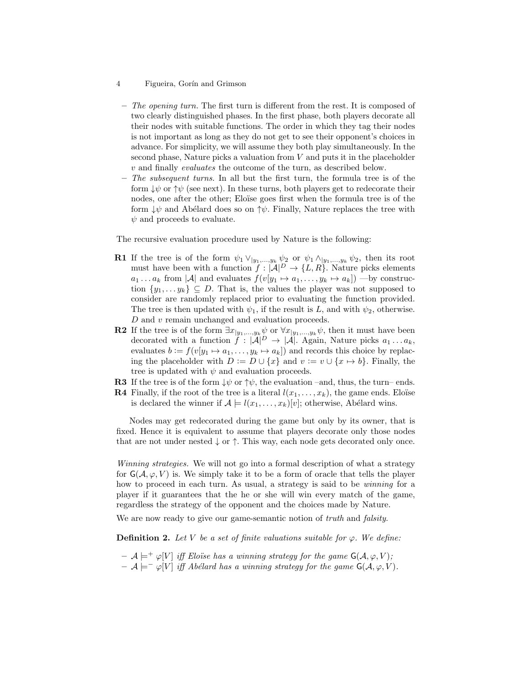- 4 Figueira, Gorín and Grimson
	- $-$  The opening turn. The first turn is different from the rest. It is composed of two clearly distinguished phases. In the first phase, both players decorate all their nodes with suitable functions. The order in which they tag their nodes is not important as long as they do not get to see their opponent's choices in advance. For simplicity, we will assume they both play simultaneously. In the second phase, Nature picks a valuation from  $V$  and puts it in the placeholder v and finally evaluates the outcome of the turn, as described below.
	- $-$  The subsequent turns. In all but the first turn, the formula tree is of the form  $\downarrow \psi$  or  $\uparrow \psi$  (see next). In these turns, both players get to redecorate their nodes, one after the other; Eloïse goes first when the formula tree is of the form  $\downarrow \psi$  and Abélard does so on  $\uparrow \psi$ . Finally, Nature replaces the tree with  $\psi$  and proceeds to evaluate.

The recursive evaluation procedure used by Nature is the following:

- **R1** If the tree is of the form  $\psi_1 \vee_{|y_1,...,y_k} \psi_2$  or  $\psi_1 \wedge_{|y_1,...,y_k} \psi_2$ , then its root must have been with a function  $f : |\mathcal{A}|^D \to \{L, R\}$ . Nature picks elements  $a_1 \ldots a_k$  from  $|\mathcal{A}|$  and evaluates  $f(v[y_1 \mapsto a_1, \ldots, y_k \mapsto a_k])$  —by construction  $\{y_1, \ldots y_k\} \subseteq D$ . That is, the values the player was not supposed to consider are randomly replaced prior to evaluating the function provided. The tree is then updated with  $\psi_1$ , if the result is L, and with  $\psi_2$ , otherwise.  $D$  and  $\boldsymbol{v}$  remain unchanged and evaluation proceeds.
- **R2** If the tree is of the form  $\exists x_{|y_1,...,y_k} \psi$  or  $\forall x_{|y_1,...,y_k} \psi$ , then it must have been decorated with a function  $\ddot{f} : |\mathcal{A}|^D \to |\mathcal{A}|$ . Again, Nature picks  $a_1 \dots a_k$ , evaluates  $b := f(v[y_1 \mapsto a_1, \dots, y_k \mapsto a_k])$  and records this choice by replacing the placeholder with  $D := D \cup \{x\}$  and  $v := v \cup \{x \mapsto b\}$ . Finally, the tree is updated with  $\psi$  and evaluation proceeds.
- **R3** If the tree is of the form  $\downarrow \psi$  or  $\uparrow \psi$ , the evaluation –and, thus, the turn– ends.
- **R4** Finally, if the root of the tree is a literal  $l(x_1, \ldots, x_k)$ , the game ends. Eloïse is declared the winner if  $\mathcal{A} \models l(x_1, \ldots, x_k)[v]$ ; otherwise, Abélard wins.

Nodes may get redecorated during the game but only by its owner, that is fixed. Hence it is equivalent to assume that players decorate only those nodes that are not under nested  $\downarrow$  or  $\uparrow$ . This way, each node gets decorated only once.

Winning strategies. We will not go into a formal description of what a strategy for  $G(A, \varphi, V)$  is. We simply take it to be a form of oracle that tells the player how to proceed in each turn. As usual, a strategy is said to be *winning* for a player if it guarantees that the he or she will win every match of the game, regardless the strategy of the opponent and the choices made by Nature.

We are now ready to give our game-semantic notion of *truth* and *falsity*.

**Definition 2.** Let V be a set of finite valuations suitable for  $\varphi$ . We define:

- $-\mathcal{A} \models^+ \varphi[V]$  iff Eloïse has a winning strategy for the game  $\mathsf{G}(\mathcal{A}, \varphi, V);$
- $A \models^- \varphi[V]$  iff Abélard has a winning strategy for the game G(A,  $\varphi$ , V).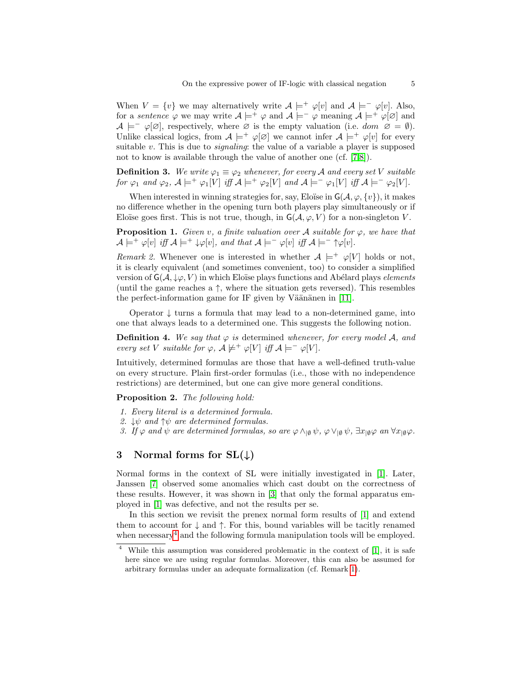When  $V = \{v\}$  we may alternatively write  $\mathcal{A} \models^+ \varphi[v]$  and  $\mathcal{A} \models^- \varphi[v]$ . Also, for a sentence  $\varphi$  we may write  $\mathcal{A} \models^+ \varphi$  and  $\mathcal{A} \models^- \varphi$  meaning  $\mathcal{A} \models^+ \varphi[\varnothing]$  and  $\mathcal{A} \models^- \varphi[\varnothing]$ , respectively, where  $\varnothing$  is the empty valuation (i.e. dom  $\varnothing = \emptyset$ ). Unlike classical logics, from  $A \models^+ \varphi[\varnothing]$  we cannot infer  $A \models^+ \varphi[v]$  for every suitable  $v$ . This is due to *signaling*: the value of a variable a player is supposed not to know is available through the value of another one (cf. [\[7,](#page-10-7)[8\]](#page-10-8)).

**Definition 3.** We write  $\varphi_1 \equiv \varphi_2$  whenever, for every A and every set V suitable for  $\varphi_1$  and  $\varphi_2$ ,  $\mathcal{A} \models^+ \varphi_1[V]$  iff  $\mathcal{A} \models^+ \varphi_2[V]$  and  $\mathcal{A} \models^- \varphi_1[V]$  iff  $\mathcal{A} \models^- \varphi_2[V]$ .

When interested in winning strategies for, say, Eloïse in  $\mathsf{G}(\mathcal{A}, \varphi, \{v\})$ , it makes no difference whether in the opening turn both players play simultaneously or if Eloïse goes first. This is not true, though, in  $G(A, \varphi, V)$  for a non-singleton V.

<span id="page-4-4"></span>**Proposition 1.** Given v, a finite valuation over A suitable for  $\varphi$ , we have that  $\mathcal{A} \models^+ \varphi[v]$  iff  $\mathcal{A} \models^+ \psi[v]$ , and that  $\mathcal{A} \models^- \varphi[v]$  iff  $\mathcal{A} \models^- \uparrow \varphi[v]$ .

<span id="page-4-3"></span>Remark 2. Whenever one is interested in whether  $A \models^+ \varphi[V]$  holds or not, it is clearly equivalent (and sometimes convenient, too) to consider a simplified version of  $\mathsf{G}(\mathcal{A}, \downarrow\varphi, V)$  in which Eloïse plays functions and Abélard plays *elements* (until the game reaches a  $\uparrow$ , where the situation gets reversed). This resembles the perfect-information game for IF given by Väänänen in  $[11]$ .

Operator  $\downarrow$  turns a formula that may lead to a non-determined game, into one that always leads to a determined one. This suggests the following notion.

**Definition 4.** We say that  $\varphi$  is determined whenever, for every model A, and every set V suitable for  $\varphi$ ,  $\mathcal{A} \not\models^+ \varphi[V]$  iff  $\mathcal{A} \models^- \varphi[V]$ .

Intuitively, determined formulas are those that have a well-defined truth-value on every structure. Plain first-order formulas (i.e., those with no independence restrictions) are determined, but one can give more general conditions.

<span id="page-4-2"></span>Proposition 2. The following hold:

- 1. Every literal is a determined formula.
- 2.  $\downarrow \psi$  and  $\uparrow \psi$  are determined formulas.
- 3. If  $\varphi$  and  $\psi$  are determined formulas, so are  $\varphi \wedge_{\lbrack 0} \psi$ ,  $\varphi \vee_{\lbrack 0} \psi$ ,  $\exists x_{\lbrack 0} \varphi$  an  $\forall x_{\lbrack 0} \varphi$ .

## <span id="page-4-0"></span>3 Normal forms for  $SL(\downarrow)$

Normal forms in the context of SL were initially investigated in [\[1\]](#page-10-10). Later, Janssen [\[7\]](#page-10-7) observed some anomalies which cast doubt on the correctness of these results. However, it was shown in [\[3\]](#page-10-6) that only the formal apparatus employed in [\[1\]](#page-10-10) was defective, and not the results per se.

In this section we revisit the prenex normal form results of [\[1\]](#page-10-10) and extend them to account for  $\downarrow$  and  $\uparrow$ . For this, bound variables will be tacitly renamed when necessary<sup>[4](#page-4-1)</sup> and the following formula manipulation tools will be employed.

<span id="page-4-1"></span>While this assumption was considered problematic in the context of [\[1\]](#page-10-10), it is safe here since we are using regular formulas. Moreover, this can also be assumed for arbitrary formulas under an adequate formalization (cf. Remark [1\)](#page-2-1).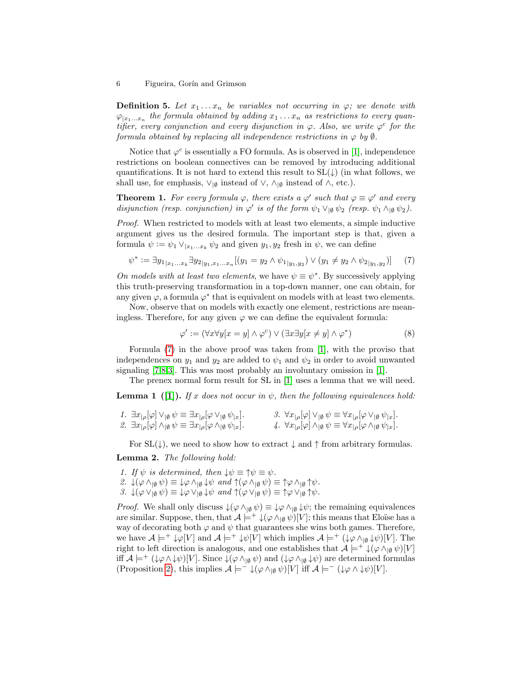**Definition 5.** Let  $x_1 \ldots x_n$  be variables not occurring in  $\varphi$ ; we denote with  $\varphi_{|x_1...x_n}$  the formula obtained by adding  $x_1 \ldots x_n$  as restrictions to every quantifier, every conjunction and every disjunction in  $\varphi$ . Also, we write  $\varphi^c$  for the formula obtained by replacing all independence restrictions in  $\varphi$  by  $\emptyset$ .

Notice that  $\varphi^c$  is essentially a FO formula. As is observed in [\[1\]](#page-10-10), independence restrictions on boolean connectives can be removed by introducing additional quantifications. It is not hard to extend this result to  $SL(\downarrow)$  (in what follows, we shall use, for emphasis,  $\vee_{\lbrack\emptyset\rbrack}$  instead of  $\vee$ ,  $\wedge_{\lbrack\emptyset\rbrack}$  instead of  $\wedge$ , etc.).

<span id="page-5-1"></span>**Theorem 1.** For every formula  $\varphi$ , there exists a  $\varphi'$  such that  $\varphi \equiv \varphi'$  and every disjunction (resp. conjunction) in  $\varphi'$  is of the form  $\psi_1 \vee_{\vert \emptyset} \psi_2$  (resp.  $\psi_1 \wedge_{\vert \emptyset} \psi_2$ ).

Proof. When restricted to models with at least two elements, a simple inductive argument gives us the desired formula. The important step is that, given a formula  $\psi := \psi_1 \vee_{|x_1...x_k} \psi_2$  and given  $y_1, y_2$  fresh in  $\psi$ , we can define

<span id="page-5-0"></span>
$$
\psi^* := \exists y_{1|x_1...x_k} \exists y_{2|y_1,x_1...x_n} [(y_1 = y_2 \land \psi_{1|y_1,y_2}) \lor (y_1 \neq y_2 \land \psi_{2|y_1,y_2})] \tag{7}
$$

On models with at least two elements, we have  $\psi \equiv \psi^*$ . By successively applying this truth-preserving transformation in a top-down manner, one can obtain, for any given  $\varphi$ , a formula  $\varphi^*$  that is equivalent on models with at least two elements.

Now, observe that on models with exactly one element, restrictions are meaningless. Therefore, for any given  $\varphi$  we can define the equivalent formula:

$$
\varphi' := (\forall x \forall y [x = y] \land \varphi^c) \lor (\exists x \exists y [x \neq y] \land \varphi^*)
$$
\n(8)

Formula [\(7\)](#page-5-0) in the above proof was taken from [\[1\]](#page-10-10), with the proviso that independences on  $y_1$  and  $y_2$  are added to  $\psi_1$  and  $\psi_2$  in order to avoid unwanted signaling [\[7,](#page-10-7)[8,](#page-10-8)[3\]](#page-10-6). This was most probably an involuntary omission in [\[1\]](#page-10-10).

The prenex normal form result for SL in [\[1\]](#page-10-10) uses a lemma that we will need.

<span id="page-5-2"></span>**Lemma 1** ([\[1\]](#page-10-10)). If x does not occur in  $\psi$ , then the following equivalences hold:

| 1. $\exists x_{\rho}[\varphi] \vee_{\lbrack \emptyset} \psi \equiv \exists x_{\lbrack \rho}[\varphi \vee_{\lbrack \emptyset} \psi_{\lbrack x}].$     | 3. $\forall x_{\rho}[\varphi] \vee_{\lbrack \emptyset} \psi \equiv \forall x_{\lbrack \rho}[\varphi \vee_{\lbrack \emptyset} \psi_{\lbrack x}].$     |  |
|------------------------------------------------------------------------------------------------------------------------------------------------------|------------------------------------------------------------------------------------------------------------------------------------------------------|--|
| 2. $\exists x_{\rho}[\varphi] \wedge_{\lbrack \emptyset} \psi \equiv \exists x_{\lbrack \rho}[\varphi \wedge_{\lbrack \emptyset} \psi_{\lbrack x}].$ | 4. $\forall x_{\rho}[\varphi] \wedge_{\lbrack \emptyset} \psi \equiv \forall x_{\lbrack \rho}[\varphi \wedge_{\lbrack \emptyset} \psi_{\lbrack x}].$ |  |

For  $SL(\downarrow)$ , we need to show how to extract  $\downarrow$  and  $\uparrow$  from arbitrary formulas.

Lemma 2. The following hold:

- 1. If  $\psi$  is determined, then  $\downarrow \psi \equiv \uparrow \psi \equiv \psi$ .
- 2.  $\downarrow(\varphi \wedge_{\lbrack\emptyset}\psi) \equiv \downarrow\varphi \wedge_{\lbrack\emptyset}\downarrow\psi$  and  $\uparrow(\varphi \wedge_{\lbrack\emptyset}\psi) \equiv \uparrow\varphi \wedge_{\lbrack\emptyset}\uparrow\psi.$
- 3.  $\downarrow(\varphi \vee_{\vert \emptyset} \psi) \equiv \downarrow \varphi \vee_{\vert \emptyset} \downarrow \psi$  and  $\uparrow(\varphi \vee_{\vert \emptyset} \psi) \equiv \uparrow \varphi \vee_{\vert \emptyset} \uparrow \psi$ .

*Proof.* We shall only discuss  $\downarrow(\varphi \wedge_{\lbrack\emptyset}\psi) \equiv \downarrow\varphi \wedge_{\lbrack\emptyset}\downarrow\psi$ ; the remaining equivalences are similar. Suppose, then, that  $\mathcal{A} \models^+ \downarrow(\varphi \wedge_{\lbrack \emptyset} \psi) [V];$  this means that Eloïse has a way of decorating both  $\varphi$  and  $\psi$  that guarantees she wins both games. Therefore, we have  $\mathcal{A} \models^+ \downarrow \varphi[V]$  and  $\mathcal{A} \models^+ \downarrow \psi[V]$  which implies  $\mathcal{A} \models^+ (\downarrow \varphi \wedge_{\lvert \emptyset} \downarrow \psi)[V]$ . The right to left direction is analogous, and one establishes that  $\mathcal{A} \models^+ \downarrow (\varphi \wedge_{\mathfrak{g}} \psi)[V]$ iff  $\mathcal{A} \models^+ (\downarrow \varphi \land \downarrow \psi)[V]$ . Since  $\downarrow (\varphi \land_{\downarrow \emptyset} \psi)$  and  $(\downarrow \varphi \land_{\downarrow \emptyset} \downarrow \psi)$  are determined formulas (Proposition [2\)](#page-4-2), this implies  $\mathcal{A} \models^- \downarrow(\varphi \wedge_{\lvert \varnothing} \psi)[V]$  iff  $\mathcal{A} \models^- (\downarrow \varphi \wedge \downarrow \psi)[V]$ .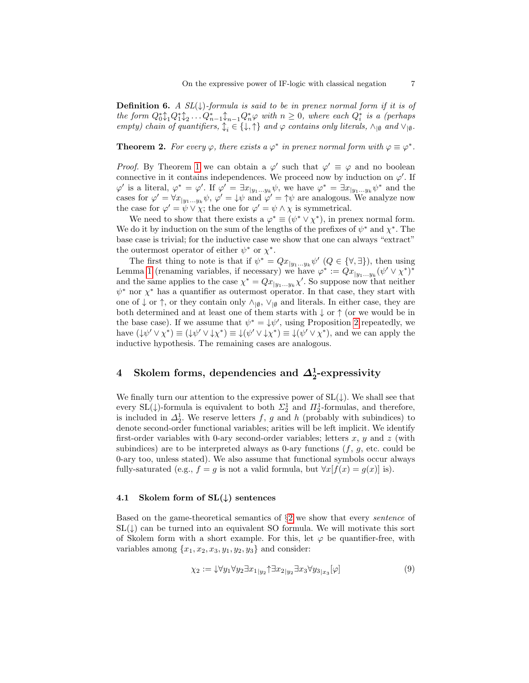**Definition 6.** A  $SL(\downarrow)$ -formula is said to be in prenex normal form if it is of the form  $Q_0^*\mathcal{L}_1 Q_1^*\mathcal{L}_2 \ldots Q_{n-1}^*\mathcal{L}_{n-1} Q_n^*\varphi$  with  $n \geq 0$ , where each  $Q_i^*$  is a (perhaps empty) chain of quantifiers,  $\mathcal{L}_i \in \{\downarrow, \uparrow\}$  and  $\varphi$  contains only literals,  $\wedge_{\lvert \emptyset}$  and  $\vee_{\lvert \emptyset}$ .

**Theorem 2.** For every  $\varphi$ , there exists a  $\varphi^*$  in prenex normal form with  $\varphi \equiv \varphi^*$ .

*Proof.* By Theorem [1](#page-5-1) we can obtain a  $\varphi'$  such that  $\varphi' \equiv \varphi$  and no boolean connective in it contains independences. We proceed now by induction on  $\varphi'$ . If  $\varphi'$  is a literal,  $\varphi^* = \varphi'$ . If  $\varphi' = \exists x_{|y_1...y_k} \psi$ , we have  $\varphi^* = \exists x_{|y_1...y_k} \psi^*$  and the cases for  $\varphi' = \forall x_{y_1...y_k} \psi$ ,  $\varphi' = \psi \psi$  and  $\varphi' = \uparrow \psi$  are analogous. We analyze now the case for  $\varphi' = \psi \vee \chi$ ; the one for  $\varphi' = \psi \wedge \chi$  is symmetrical.

We need to show that there exists a  $\varphi^* \equiv (\psi^* \vee \chi^*)$ , in prenex normal form. We do it by induction on the sum of the lengths of the prefixes of  $\psi^*$  and  $\chi^*$ . The base case is trivial; for the inductive case we show that one can always "extract" the outermost operator of either  $\psi^*$  or  $\chi^*$ .

The first thing to note is that if  $\psi^* = Qx_{|y_1...y_k} \psi'(Q \in {\forall, \exists}$ , then using Lemma [1](#page-5-2) (renaming variables, if necessary) we have  $\varphi^* := Qx_{|y_1...y_k}(\psi' \vee \chi^*)^*$ and the same applies to the case  $\chi^* = Qx_{|y_1...y_k}\chi'$ . So suppose now that neither  $\psi^*$  nor  $\chi^*$  has a quantifier as outermost operator. In that case, they start with one of  $\downarrow$  or  $\uparrow$ , or they contain only  $\wedge_{\lbrack\emptyset}$ ,  $\vee_{\lbrack\emptyset}$  and literals. In either case, they are both determined and at least one of them starts with  $\downarrow$  or  $\uparrow$  (or we would be in the base case). If we assume that  $\psi^* = \psi'$ , using Proposition [2](#page-4-2) repeatedly, we have  $(\downarrow \psi' \lor \chi^*) \equiv (\downarrow \psi' \lor \downarrow \chi^*) \equiv \downarrow (\psi' \lor \downarrow \chi^*) \equiv \downarrow (\psi' \lor \chi^*)$ , and we can apply the inductive hypothesis. The remaining cases are analogous.

# <span id="page-6-0"></span>4 Skolem forms, dependencies and  $\Delta^1_2$ -expressivity

We finally turn our attention to the expressive power of  $SL(\downarrow)$ . We shall see that every SL( $\downarrow$ )-formula is equivalent to both  $\Sigma_2^1$  and  $\Pi_2^1$ -formulas, and therefore, is included in  $\Delta_2^1$ . We reserve letters f, g and h (probably with subindices) to denote second-order functional variables; arities will be left implicit. We identify first-order variables with 0-ary second-order variables; letters  $x, y$  and  $z$  (with subindices) are to be interpreted always as 0-ary functions  $(f, g, \text{etc.} \text{ could be}$ 0-ary too, unless stated). We also assume that functional symbols occur always fully-saturated (e.g.,  $f = g$  is not a valid formula, but  $\forall x[f(x) = g(x)]$  is).

#### 4.1 Skolem form of  $SL(\downarrow)$  sentences

Based on the game-theoretical semantics of  $\S2$  $\S2$  we show that every *sentence* of  $SL(\downarrow)$  can be turned into an equivalent SO formula. We will motivate this sort of Skolem form with a short example. For this, let  $\varphi$  be quantifier-free, with variables among  $\{x_1, x_2, x_3, y_1, y_2, y_3\}$  and consider:

$$
\chi_2 := \downarrow \forall y_1 \forall y_2 \exists x_{1|y_2} \uparrow \exists x_{2|y_2} \exists x_3 \forall y_{3|x_3} [\varphi]
$$
\n
$$
(9)
$$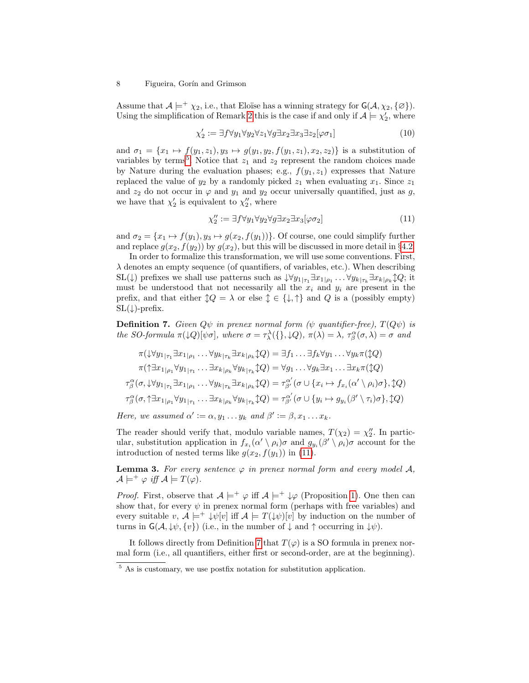#### 8 Figueira, Gorín and Grimson

Assume that  $\mathcal{A} \models^+ \chi_2$ , i.e., that Eloïse has a winning strategy for  $\mathsf{G}(\mathcal{A}, \chi_2, \{\emptyset\})$ . Using the simplification of Remark [2](#page-4-3) this is the case if and only if  $\mathcal{A} \models \chi'_2$ , where

$$
\chi_2' := \exists f \forall y_1 \forall y_2 \forall z_1 \forall g \exists x_2 \exists x_3 \exists z_2 [\varphi \sigma_1]
$$
\n
$$
(10)
$$

and  $\sigma_1 = \{x_1 \mapsto f(y_1, z_1), y_3 \mapsto g(y_1, y_2, f(y_1, z_1), x_2, z_2)\}\$ is a substitution of variables by terms<sup>[5](#page-7-0)</sup>. Notice that  $z_1$  and  $z_2$  represent the random choices made by Nature during the evaluation phases; e.g.,  $f(y_1, z_1)$  expresses that Nature replaced the value of  $y_2$  by a randomly picked  $z_1$  when evaluating  $x_1$ . Since  $z_1$ and  $z_2$  do not occur in  $\varphi$  and  $y_1$  and  $y_2$  occur universally quantified, just as g, we have that  $\chi'_2$  is equivalent to  $\chi''_2$ , where

<span id="page-7-1"></span>
$$
\chi_2'' := \exists f \forall y_1 \forall y_2 \forall g \exists x_2 \exists x_3 [\varphi \sigma_2]
$$
\n(11)

and  $\sigma_2 = \{x_1 \mapsto f(y_1), y_3 \mapsto g(x_2, f(y_1))\}$ . Of course, one could simplify further and replace  $g(x_2, f(y_2))$  by  $g(x_2)$ , but this will be discussed in more detail in §[4.2.](#page-8-0)

In order to formalize this transformation, we will use some conventions. First,  $\lambda$  denotes an empty sequence (of quantifiers, of variables, etc.). When describing  $\mathrm{SL}(\downarrow)$  prefixes we shall use patterns such as  $\downarrow \forall y_1_{|\tau_1} \exists x_1_{|\rho_1} \ldots \forall y_k_{|\tau_k} \exists x_k_{|\rho_k} \updownarrow Q$ ; it must be understood that not necessarily all the  $x_i$  and  $y_i$  are present in the prefix, and that either  $\updownarrow Q = \lambda$  or else  $\updownarrow \in {\downarrow, \uparrow}$  and Q is a (possibly empty)  $SL(\downarrow)$ -prefix.

<span id="page-7-2"></span>**Definition 7.** Given  $Q\psi$  in prenex normal form ( $\psi$  quantifier-free),  $T(Q\psi)$  is the SO-formula  $\pi(\downarrow Q)[\psi\sigma]$ , where  $\sigma = \tau^{\lambda}_{\lambda}(\{\}, \downarrow Q)$ ,  $\pi(\lambda) = \lambda$ ,  $\tau^{\alpha}_{\beta}(\sigma, \lambda) = \sigma$  and

$$
\pi(\downarrow \forall y_{1|\tau_{1}} \exists x_{1|\rho_{1}} \cdots \forall y_{k|\tau_{k}} \exists x_{k|\rho_{k}} \updownarrow Q) = \exists f_{1} \dots \exists f_{k} \forall y_{1} \dots \forall y_{k} \pi(\updownarrow Q)
$$
\n
$$
\pi(\uparrow \exists x_{1|\rho_{1}} \forall y_{1|\tau_{1}} \dots \exists x_{k|\rho_{k}} \forall y_{k|\tau_{k}} \updownarrow Q) = \forall g_{1} \dots \forall g_{k} \exists x_{1} \dots \exists x_{k} \pi(\updownarrow Q)
$$
\n
$$
\tau_{\beta}^{\alpha}(\sigma, \downarrow \forall y_{1|\tau_{1}} \exists x_{1|\rho_{1}} \dots \forall y_{k|\tau_{k}} \exists x_{k|\rho_{k}} \updownarrow Q) = \tau_{\beta'}^{\alpha'}(\sigma \cup \{x_{i} \mapsto f_{x_{i}}(\alpha' \setminus \rho_{i}) \sigma\}, \updownarrow Q)
$$
\n
$$
\tau_{\beta}^{\alpha}(\sigma, \uparrow \exists x_{1|\rho_{1}} \forall y_{1|\tau_{1}} \dots \exists x_{k|\rho_{k}} \forall y_{k|\tau_{k}} \updownarrow Q) = \tau_{\beta'}^{\alpha'}(\sigma \cup \{y_{i} \mapsto g_{y_{i}}(\beta' \setminus \tau_{i}) \sigma\}, \updownarrow Q)
$$

Here, we assumed  $\alpha' := \alpha, y_1 \dots y_k$  and  $\beta' := \beta, x_1 \dots x_k$ .

The reader should verify that, modulo variable names,  $T(\chi_2) = \chi_2''$ . In particular, substitution application in  $f_{x_i}(\alpha' \setminus \rho_i)\sigma$  and  $g_{y_i}(\beta' \setminus \rho_i)\sigma$  account for the introduction of nested terms like  $g(x_2, f(y_1))$  in [\(11\)](#page-7-1).

**Lemma 3.** For every sentence  $\varphi$  in prenex normal form and every model A,  $\mathcal{A} \models^+ \varphi \text{ iff } \mathcal{A} \models T(\varphi).$ 

*Proof.* First, observe that  $A \models^+ \varphi$  iff  $A \models^+ \psi$  (Proposition [1\)](#page-4-4). One then can show that, for every  $\psi$  in prenex normal form (perhaps with free variables) and every suitable v,  $\mathcal{A} \models^+ \downarrow \psi[v]$  iff  $\mathcal{A} \models T(\downarrow \psi)[v]$  by induction on the number of turns in  $\mathsf{G}(\mathcal{A}, \psi, \{v\})$  (i.e., in the number of  $\downarrow$  and  $\uparrow$  occurring in  $\psi$ ).

It follows directly from Definition [7](#page-7-2) that  $T(\varphi)$  is a SO formula in prenex normal form (i.e., all quantifiers, either first or second-order, are at the beginning).

<span id="page-7-0"></span><sup>&</sup>lt;sup>5</sup> As is customary, we use postfix notation for substitution application.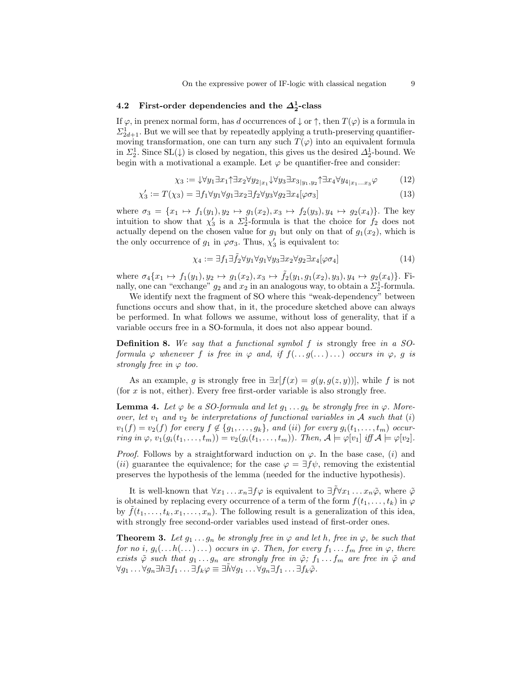# <span id="page-8-0"></span>4.2 First-order dependencies and the  $\Delta^1_2$ -class

If  $\varphi$ , in prenex normal form, has d occurrences of  $\downarrow$  or  $\uparrow$ , then  $T(\varphi)$  is a formula in  $\Sigma^1_{2d+1}$ . But we will see that by repeatedly applying a truth-preserving quantifiermoving transformation, one can turn any such  $T(\varphi)$  into an equivalent formula in  $\Sigma_2^1$ . Since SL( $\downarrow$ ) is closed by negation, this gives us the desired  $\Delta_2^1$ -bound. We begin with a motivational a example. Let  $\varphi$  be quantifier-free and consider:

$$
\chi_3 := \downarrow \forall y_1 \exists x_1 \uparrow \exists x_2 \forall y_2 \vert_{x_1} \downarrow \forall y_3 \exists x_3 \vert_{y_1, y_2} \uparrow \exists x_4 \forall y_4 \vert_{x_1...x_3} \varphi \tag{12}
$$

$$
\chi_3' := T(\chi_3) = \exists f_1 \forall y_1 \forall g_1 \exists x_2 \exists f_2 \forall y_3 \forall g_2 \exists x_4 [\varphi \sigma_3]
$$
\n(13)

where  $\sigma_3 = \{x_1 \mapsto f_1(y_1), y_2 \mapsto g_1(x_2), x_3 \mapsto f_2(y_3), y_4 \mapsto g_2(x_4)\}.$  The key intuition to show that  $\chi'_3$  is a  $\Sigma^1_2$ -formula is that the choice for  $f_2$  does not actually depend on the chosen value for  $g_1$  but only on that of  $g_1(x_2)$ , which is the only occurrence of  $g_1$  in  $\varphi \sigma_3$ . Thus,  $\chi'_3$  is equivalent to:

$$
\chi_4 := \exists f_1 \exists \tilde{f}_2 \forall y_1 \forall g_1 \forall y_3 \exists x_2 \forall g_2 \exists x_4 [\varphi \sigma_4]
$$
\n
$$
\tag{14}
$$

where  $\sigma_4\{x_1 \mapsto f_1(y_1), y_2 \mapsto g_1(x_2), x_3 \mapsto \tilde{f}_2(y_1, g_1(x_2), y_3), y_4 \mapsto g_2(x_4)\}\.$  Finally, one can "exchange"  $g_2$  and  $x_2$  in an analogous way, to obtain a  $\Sigma^1_2$ -formula.

We identify next the fragment of SO where this "weak-dependency" between functions occurs and show that, in it, the procedure sketched above can always be performed. In what follows we assume, without loss of generality, that if a variable occurs free in a SO-formula, it does not also appear bound.

Definition 8. We say that a functional symbol f is strongly free in a SOformula  $\varphi$  whenever f is free in  $\varphi$  and, if  $f(...g(...)...)$  occurs in  $\varphi$ , g is strongly free in  $\varphi$  too.

As an example, g is strongly free in  $\exists x[f(x) = g(y, g(z, y))]$ , while f is not (for x is not, either). Every free first-order variable is also strongly free.

**Lemma 4.** Let  $\varphi$  be a SO-formula and let  $g_1 \ldots g_k$  be strongly free in  $\varphi$ . Moreover, let  $v_1$  and  $v_2$  be interpretations of functional variables in A such that (i)  $v_1(f) = v_2(f)$  for every  $f \notin \{g_1, \ldots, g_k\}$ , and (ii) for every  $g_i(t_1, \ldots, t_m)$  occurring in  $\varphi$ ,  $v_1(g_i(t_1,\ldots,t_m)) = v_2(g_i(t_1,\ldots,t_m))$ . Then,  $\mathcal{A} \models \varphi[v_1]$  iff  $\mathcal{A} \models \varphi[v_2]$ .

*Proof.* Follows by a straightforward induction on  $\varphi$ . In the base case, (i) and (ii) guarantee the equivalence; for the case  $\varphi = \exists f \psi$ , removing the existential preserves the hypothesis of the lemma (needed for the inductive hypothesis).

It is well-known that  $\forall x_1 \ldots x_n \exists f \varphi$  is equivalent to  $\exists \tilde{f} \forall x_1 \ldots x_n \tilde{\varphi}$ , where  $\tilde{\varphi}$ is obtained by replacing every occurrence of a term of the form  $f(t_1, \ldots, t_k)$  in  $\varphi$ by  $f(t_1, \ldots, t_k, x_1, \ldots, x_n)$ . The following result is a generalization of this idea, with strongly free second-order variables used instead of first-order ones.

<span id="page-8-1"></span>**Theorem 3.** Let  $g_1 \ldots g_n$  be strongly free in  $\varphi$  and let h, free in  $\varphi$ , be such that for no i,  $g_i(\ldots h(\ldots)\ldots)$  occurs in  $\varphi$ . Then, for every  $f_1 \ldots f_m$  free in  $\varphi$ , there exists  $\tilde{\varphi}$  such that  $g_1 \ldots g_n$  are strongly free in  $\tilde{\varphi}$ ;  $f_1 \ldots f_m$  are free in  $\tilde{\varphi}$  and  $\forall g_1 \ldots \forall g_n \exists h \exists f_1 \ldots \exists f_k \varphi \equiv \exists h \forall g_1 \ldots \forall g_n \exists f_1 \ldots \exists f_k \tilde{\varphi}.$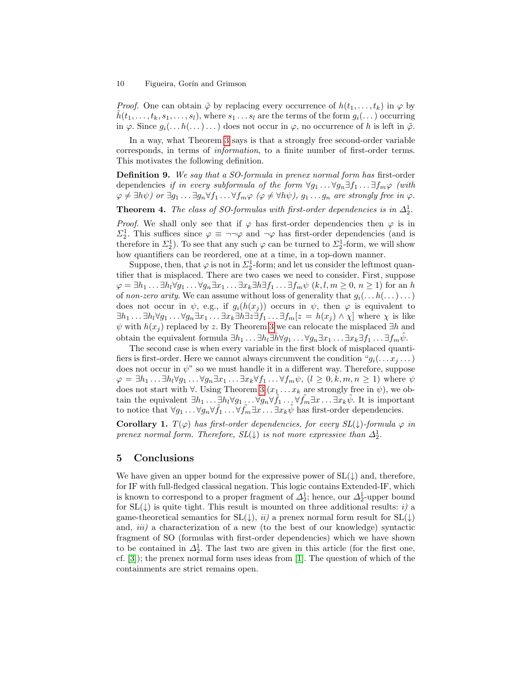#### 10 Figueira, Gorín and Grimson

*Proof.* One can obtain  $\tilde{\varphi}$  by replacing every occurrence of  $h(t_1, \ldots, t_k)$  in  $\varphi$  by  $h(t_1, \ldots, t_k, s_1, \ldots, s_l)$ , where  $s_1 \ldots s_l$  are the terms of the form  $g_i(\ldots)$  occurring in  $\varphi$ . Since  $g_i(\ldots h(\ldots)\ldots)$  does not occur in  $\varphi$ , no occurrence of h is left in  $\tilde{\varphi}$ .

In a way, what Theorem [3](#page-8-1) says is that a strongly free second-order variable corresponds, in terms of information, to a finite number of first-order terms. This motivates the following definition.

**Definition 9.** We say that a SO-formula in prenex normal form has first-order dependencies if in every subformula of the form  $\forall g_1 \dots \forall g_n \exists f_1 \dots \exists f_m \varphi$  (with  $\varphi \neq \exists h\psi$ ) or  $\exists g_1 \dots \exists g_n \forall f_1 \dots \forall f_m \varphi \ (\varphi \neq \forall h\psi), g_1 \dots g_n$  are strongly free in  $\varphi$ .

**Theorem 4.** The class of SO-formulas with first-order dependencies is in  $\Delta_2^1$ .

*Proof.* We shall only see that if  $\varphi$  has first-order dependencies then  $\varphi$  is in  $\Sigma_2^1$ . This suffices since  $\varphi \equiv \neg \neg \varphi$  and  $\neg \varphi$  has first-order dependencies (and is therefore in  $\Sigma_2^1$ ). To see that any such  $\varphi$  can be turned to  $\Sigma_2^1$ -form, we will show how quantifiers can be reordered, one at a time, in a top-down manner.

Suppose, then, that  $\varphi$  is not in  $\Sigma^1_2$ -form; and let us consider the leftmost quantifier that is misplaced. There are two cases we need to consider. First, suppose  $\varphi = \exists h_1 \dots \exists h_l \forall g_1 \dots \forall g_n \exists x_1 \dots \exists x_k \exists h \exists f_1 \dots \exists f_m \psi \ (k, l, m \geq 0, n \geq 1)$  for an h of non-zero arity. We can assume without loss of generality that  $g_i(\ldots h(\ldots)\ldots)$ does not occur in  $\psi$ , e.g., if  $g_i(h(x_i))$  occurs in  $\psi$ , then  $\varphi$  is equivalent to  $\exists h_1 \ldots \exists h_l \forall g_1 \ldots \forall g_n \exists x_1 \ldots \exists x_k \exists h \exists z \exists f_1 \ldots \exists f_m [z = h(x_j) \land \chi]$  where  $\chi$  is like  $\psi$  with  $h(x_i)$  replaced by z. By Theorem [3](#page-8-1) we can relocate the misplaced  $\exists h$  and obtain the equivalent formula  $\exists h_1 \ldots \exists h_l \exists \tilde{h} \forall g_1 \ldots \forall g_n \exists x_1 \ldots \exists x_k \exists f_1 \ldots \exists f_m \tilde{\psi}$ .

The second case is when every variable in the first block of misplaced quantifiers is first-order. Here we cannot always circumvent the condition " $g_i(\ldots x_j \ldots)$ " does not occur in  $\psi$ " so we must handle it in a different way. Therefore, suppose  $\varphi = \exists h_1 \dots \exists h_l \forall g_1 \dots \forall g_n \exists x_1 \dots \exists x_k \forall f_1 \dots \forall f_m \psi, (l \geq 0, k, m, n \geq 1)$  where  $\psi$ does not start with  $\forall$ . Using Theorem [3](#page-8-1)  $(x_1 \ldots x_k)$  are strongly free in  $\psi$ ), we obtain the equivalent  $\exists h_1 \ldots \exists h_l \forall g_1 \ldots \forall g_n \forall \tilde{f}_1 \ldots \forall \tilde{f}_m \exists x \ldots \exists x_k \tilde{\psi}$ . It is important to notice that  $\forall g_1 \ldots \forall g_n \forall \tilde{f}_1 \ldots \forall \tilde{f}_m \exists x \ldots \exists x_k \tilde{\psi}$  has first-order dependencies.

**Corollary 1.**  $T(\varphi)$  has first-order dependencies, for every  $SL(\downarrow)$ -formula  $\varphi$  in prenex normal form. Therefore,  $SL(\downarrow)$  is not more expressive than  $\Delta_2^1$ .

## 5 Conclusions

We have given an upper bound for the expressive power of  $SL(\downarrow)$  and, therefore, for IF with full-fledged classical negation. This logic contains Extended-IF, which is known to correspond to a proper fragment of  $\Delta_2^1$ ; hence, our  $\Delta_2^1$ -upper bound for  $SL(\downarrow)$  is quite tight. This result is mounted on three additional results: i) a game-theoretical semantics for  $SL(\downarrow)$ ,  $ii)$  a prenex normal form result for  $SL(\downarrow)$ and,  $iii)$  a characterization of a new (to the best of our knowledge) syntactic fragment of SO (formulas with first-order dependencies) which we have shown to be contained in  $\Delta_2^1$ . The last two are given in this article (for the first one, cf. [\[3\]](#page-10-6)); the prenex normal form uses ideas from [\[1\]](#page-10-10). The question of which of the containments are strict remains open.